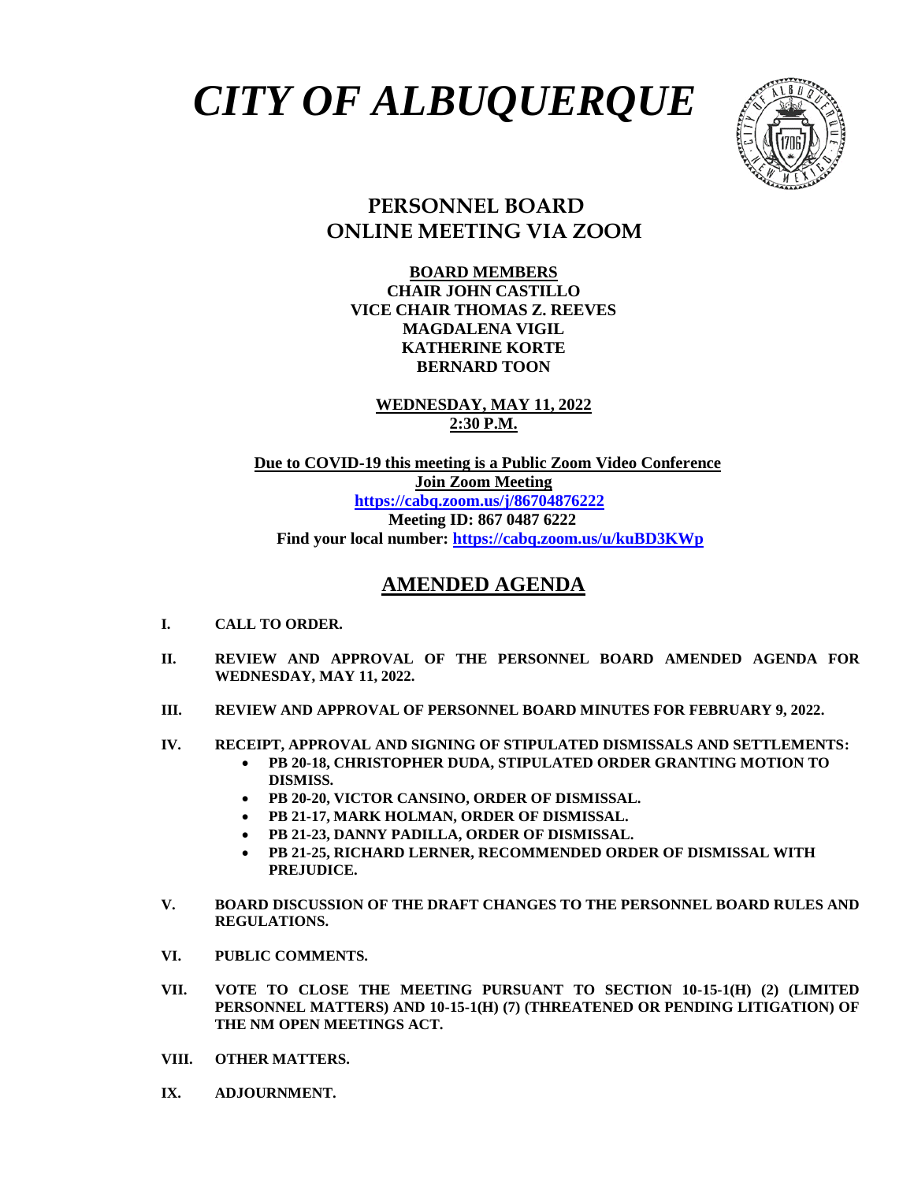## *CITY OF ALBUQUERQUE*



## **PERSONNEL BOARD ONLINE MEETING VIA ZOOM**

**BOARD MEMBERS CHAIR JOHN CASTILLO VICE CHAIR THOMAS Z. REEVES MAGDALENA VIGIL KATHERINE KORTE BERNARD TOON**

**WEDNESDAY, MAY 11, 2022 2:30 P.M.**

 **Due to COVID-19 this meeting is a Public Zoom Video Conference Join Zoom Meeting <https://cabq.zoom.us/j/86704876222> Meeting ID: 867 0487 6222 Find your local number:<https://cabq.zoom.us/u/kuBD3KWp>**

## **AMENDED AGENDA**

- **I. CALL TO ORDER.**
- **II. REVIEW AND APPROVAL OF THE PERSONNEL BOARD AMENDED AGENDA FOR WEDNESDAY, MAY 11, 2022.**
- **III. REVIEW AND APPROVAL OF PERSONNEL BOARD MINUTES FOR FEBRUARY 9, 2022.**
- **IV. RECEIPT, APPROVAL AND SIGNING OF STIPULATED DISMISSALS AND SETTLEMENTS:**
	- **PB 20-18, CHRISTOPHER DUDA, STIPULATED ORDER GRANTING MOTION TO DISMISS.**
	- **PB 20-20, VICTOR CANSINO, ORDER OF DISMISSAL.**
	- **PB 21-17, MARK HOLMAN, ORDER OF DISMISSAL.**
	- **PB 21-23, DANNY PADILLA, ORDER OF DISMISSAL.**
	- **PB 21-25, RICHARD LERNER, RECOMMENDED ORDER OF DISMISSAL WITH PREJUDICE.**
- **V. BOARD DISCUSSION OF THE DRAFT CHANGES TO THE PERSONNEL BOARD RULES AND REGULATIONS.**
- **VI. PUBLIC COMMENTS.**
- **VII. VOTE TO CLOSE THE MEETING PURSUANT TO SECTION 10-15-1(H) (2) (LIMITED PERSONNEL MATTERS) AND 10-15-1(H) (7) (THREATENED OR PENDING LITIGATION) OF THE NM OPEN MEETINGS ACT.**
- **VIII. OTHER MATTERS.**
- **IX. ADJOURNMENT.**